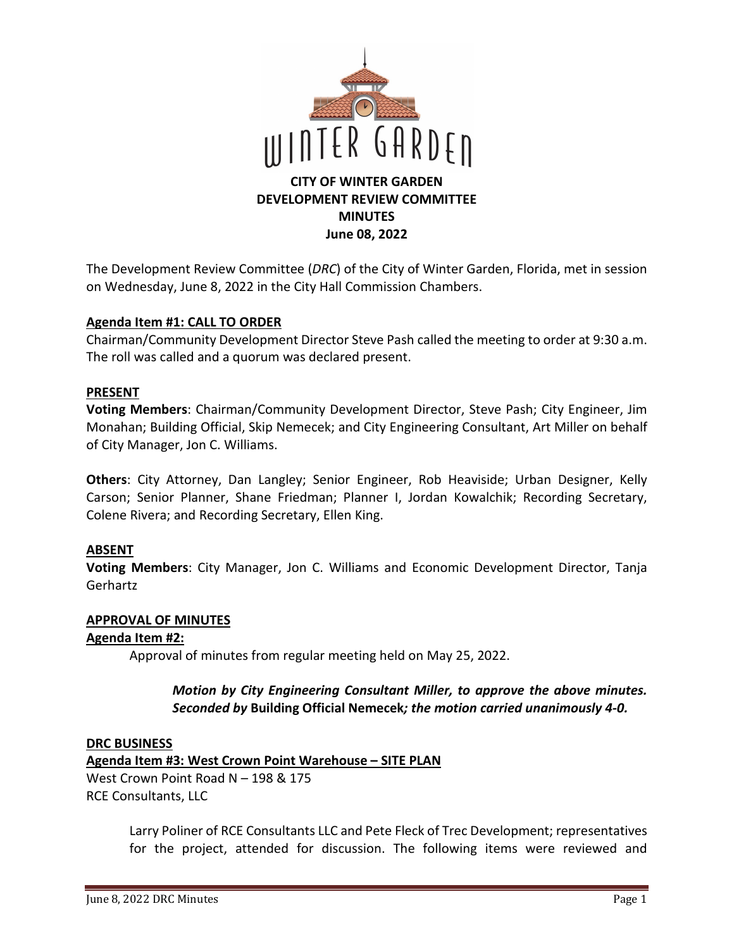

The Development Review Committee (*DRC*) of the City of Winter Garden, Florida, met in session on Wednesday, June 8, 2022 in the City Hall Commission Chambers.

#### **Agenda Item #1: CALL TO ORDER**

Chairman/Community Development Director Steve Pash called the meeting to order at 9:30 a.m. The roll was called and a quorum was declared present.

#### **PRESENT**

**Voting Members**: Chairman/Community Development Director, Steve Pash; City Engineer, Jim Monahan; Building Official, Skip Nemecek; and City Engineering Consultant, Art Miller on behalf of City Manager, Jon C. Williams.

**Others**: City Attorney, Dan Langley; Senior Engineer, Rob Heaviside; Urban Designer, Kelly Carson; Senior Planner, Shane Friedman; Planner I, Jordan Kowalchik; Recording Secretary, Colene Rivera; and Recording Secretary, Ellen King.

## **ABSENT**

**Voting Members**: City Manager, Jon C. Williams and Economic Development Director, Tanja Gerhartz

#### **APPROVAL OF MINUTES**

#### **Agenda Item #2:**

Approval of minutes from regular meeting held on May 25, 2022.

#### *Motion by City Engineering Consultant Miller, to approve the above minutes. Seconded by* **Building Official Nemecek***; the motion carried unanimously 4-0.*

#### **DRC BUSINESS**

**Agenda Item #3: West Crown Point Warehouse – SITE PLAN** 

West Crown Point Road N – 198 & 175 RCE Consultants, LLC

> Larry Poliner of RCE Consultants LLC and Pete Fleck of Trec Development; representatives for the project, attended for discussion. The following items were reviewed and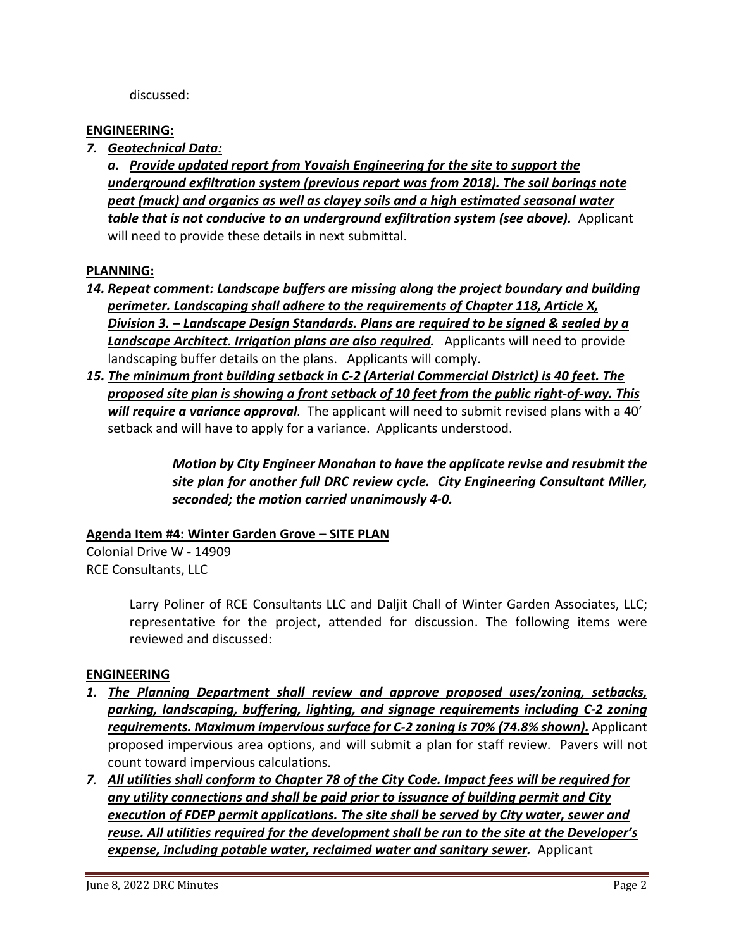discussed:

### **ENGINEERING:**

*7. Geotechnical Data:* 

*a. Provide updated report from Yovaish Engineering for the site to support the underground exfiltration system (previous report was from 2018). The soil borings note peat (muck) and organics as well as clayey soils and a high estimated seasonal water table that is not conducive to an underground exfiltration system (see above).* Applicant will need to provide these details in next submittal.

#### **PLANNING:**

- *14. Repeat comment: Landscape buffers are missing along the project boundary and building perimeter. Landscaping shall adhere to the requirements of Chapter 118, Article X, Division 3. – Landscape Design Standards. Plans are required to be signed & sealed by a Landscape Architect. Irrigation plans are also required.* Applicants will need to provide landscaping buffer details on the plans. Applicants will comply.
- *15. The minimum front building setback in C-2 (Arterial Commercial District) is 40 feet. The proposed site plan is showing a front setback of 10 feet from the public right-of-way. This will require a variance approval.* The applicant will need to submit revised plans with a 40' setback and will have to apply for a variance. Applicants understood.

*Motion by City Engineer Monahan to have the applicate revise and resubmit the site plan for another full DRC review cycle. City Engineering Consultant Miller, seconded; the motion carried unanimously 4-0.* 

## **Agenda Item #4: Winter Garden Grove – SITE PLAN**

Colonial Drive W - 14909 RCE Consultants, LLC

> Larry Poliner of RCE Consultants LLC and Daljit Chall of Winter Garden Associates, LLC; representative for the project, attended for discussion. The following items were reviewed and discussed:

#### **ENGINEERING**

- *1. The Planning Department shall review and approve proposed uses/zoning, setbacks, parking, landscaping, buffering, lighting, and signage requirements including C-2 zoning*  requirements. Maximum impervious surface for C-2 zoning is 70% (74.8% shown). Applicant proposed impervious area options, and will submit a plan for staff review. Pavers will not count toward impervious calculations.
- *7. All utilities shall conform to Chapter 78 of the City Code. Impact fees will be required for any utility connections and shall be paid prior to issuance of building permit and City execution of FDEP permit applications. The site shall be served by City water, sewer and reuse. All utilities required for the development shall be run to the site at the Developer's expense, including potable water, reclaimed water and sanitary sewer.* **Applicant**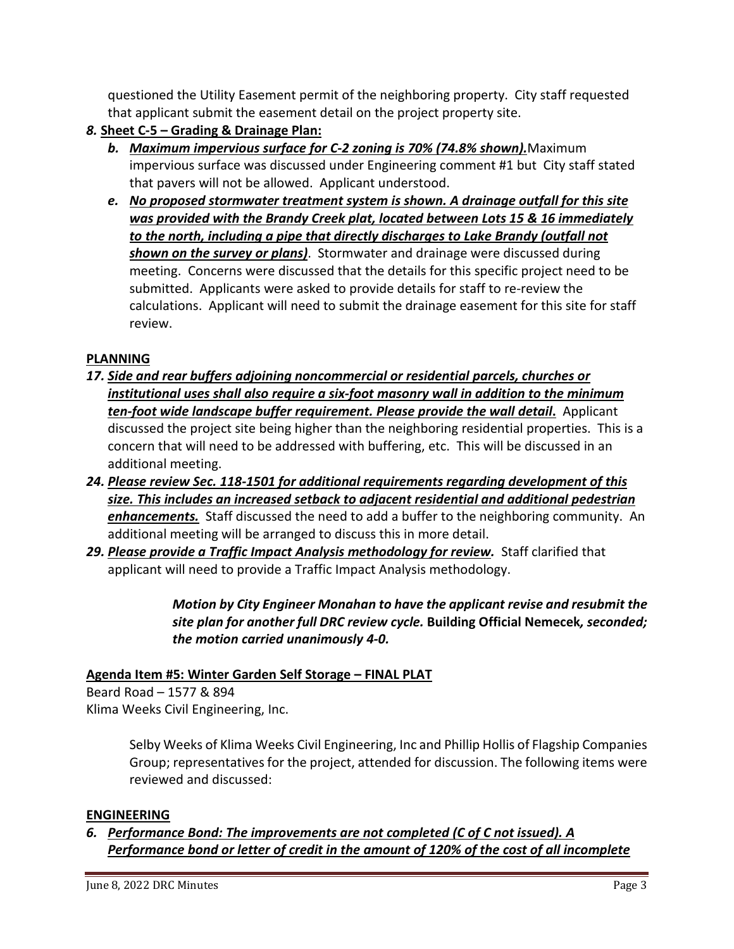questioned the Utility Easement permit of the neighboring property. City staff requested that applicant submit the easement detail on the project property site.

- *8.* **Sheet C-5 Grading & Drainage Plan:** 
	- *b. Maximum impervious surface for C-2 zoning is 70% (74.8% shown).*Maximum impervious surface was discussed under Engineering comment #1 but City staff stated that pavers will not be allowed. Applicant understood.
	- *e. No proposed stormwater treatment system is shown. A drainage outfall for this site was provided with the Brandy Creek plat, located between Lots 15 & 16 immediately to the north, including a pipe that directly discharges to Lake Brandy (outfall not shown on the survey or plans)*. Stormwater and drainage were discussed during meeting. Concerns were discussed that the details for this specific project need to be submitted. Applicants were asked to provide details for staff to re-review the calculations. Applicant will need to submit the drainage easement for this site for staff review.

# **PLANNING**

- *17. Side and rear buffers adjoining noncommercial or residential parcels, churches or institutional uses shall also require a six-foot masonry wall in addition to the minimum ten-foot wide landscape buffer requirement. Please provide the wall detail***.** Applicant discussed the project site being higher than the neighboring residential properties. This is a concern that will need to be addressed with buffering, etc. This will be discussed in an additional meeting.
- *24. Please review Sec. 118-1501 for additional requirements regarding development of this size. This includes an increased setback to adjacent residential and additional pedestrian enhancements.* Staff discussed the need to add a buffer to the neighboring community. An additional meeting will be arranged to discuss this in more detail.
- 29. Please provide a Traffic Impact Analysis methodology for review. Staff clarified that applicant will need to provide a Traffic Impact Analysis methodology.

*Motion by City Engineer Monahan to have the applicant revise and resubmit the site plan for another full DRC review cycle.* **Building Official Nemecek***, seconded; the motion carried unanimously 4-0.* 

# **Agenda Item #5: Winter Garden Self Storage – FINAL PLAT**

Beard Road – 1577 & 894 Klima Weeks Civil Engineering, Inc.

> Selby Weeks of Klima Weeks Civil Engineering, Inc and Phillip Hollis of Flagship Companies Group; representatives for the project, attended for discussion. The following items were reviewed and discussed:

## **ENGINEERING**

*6. Performance Bond: The improvements are not completed (C of C not issued). A Performance bond or letter of credit in the amount of 120% of the cost of all incomplete*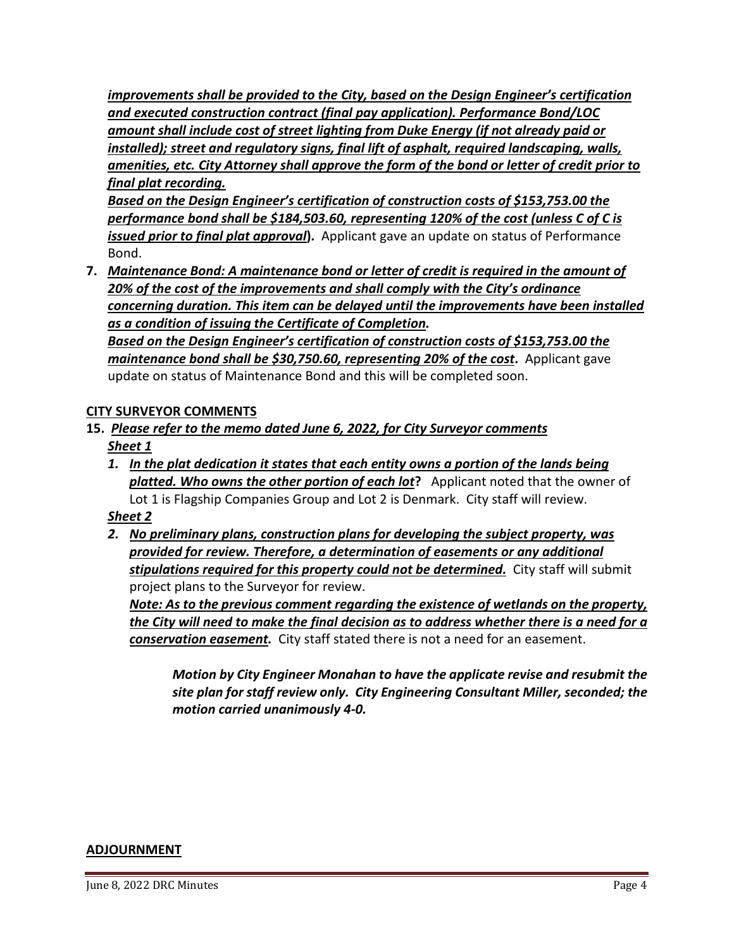*improvements shall be provided to the City, based on the Design Engineer's certification and executed construction contract (final pay application). Performance Bond/LOC amount shall include cost of street lighting from Duke Energy (if not already paid or installed); street and regulatory signs, final lift of asphalt, required landscaping, walls, amenities, etc. City Attorney shall approve the form of the bond or letter of credit prior to final plat recording.* 

*Based on the Design Engineer's certification of construction costs of \$[153,753.00](https://153,753.00) the performance bond shall be \$[184,503.60,](https://184,503.60) representing 120% of the cost (unless C of C is issued prior to final plat approval***).** Applicant gave an update on status of Performance Bond.

**7.** *Maintenance Bond: A maintenance bond or letter of credit is required in the amount of 20% of the cost of the improvements and shall comply with the City's ordinance concerning duration. This item can be delayed until the improvements have been installed as a condition of issuing the Certificate of Completion.* 

*Based on the Design Engineer's certification of construction costs of \$[153,753.00](https://153,753.00) the maintenance bond shall be [\\$30,750.60,](https://30,750.60) representing 20% of the cost***.** Applicant gave update on status of Maintenance Bond and this will be completed soon.

## **CITY SURVEYOR COMMENTS**

- **15.** *Please refer to the memo dated June 6, 2022, for City Surveyor comments Sheet 1* 
	- *1. In the plat dedication it states that each entity owns a portion of the lands being platted. Who owns the other portion of each lot***?** Applicant noted that the owner of Lot 1 is Flagship Companies Group and Lot 2 is Denmark. City staff will review.

## *Sheet 2*

*2. No preliminary plans, construction plans for developing the subject property, was provided for review. Therefore, a determination of easements or any additional stipulations required for this property could not be determined.* City staff will submit project plans to the Surveyor for review.

*Note: As to the previous comment regarding the existence of wetlands on the property, the City will need to make the final decision as to address whether there is a need for a conservation easement.* City staff stated there is not a need for an easement.

*Motion by City Engineer Monahan to have the applicate revise and resubmit the site plan for staff review only. City Engineering Consultant Miller, seconded; the motion carried unanimously 4-0.* 

#### **ADJOURNMENT**